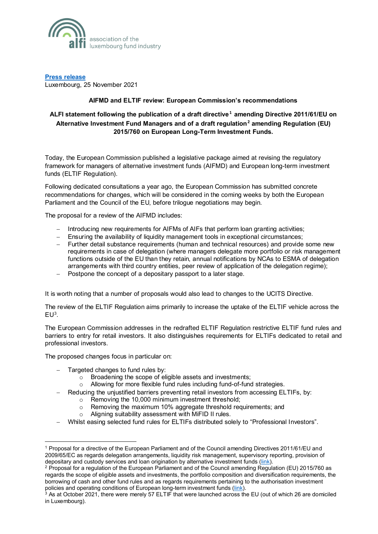

**[Press release](https://www.alfi.lu/en-gb/article/category/pressreleases)** Luxembourg, 25 November 2021

## **AIFMD and ELTIF review: European Commission's recommendations**

## **ALFI statement following the publication of a draft directive[1](#page-0-0) amending Directive 2011/61/EU on Alternative Investment Fund Managers and of a draft regulation[2](#page-0-1) amending Regulation (EU) 2015/760 on European Long-Term Investment Funds.**

Today, the European Commission published a legislative package aimed at revising the regulatory framework for managers of alternative investment funds (AIFMD) and European long-term investment funds (ELTIF Regulation).

Following dedicated consultations a year ago, the European Commission has submitted concrete recommendations for changes, which will be considered in the coming weeks by both the European Parliament and the Council of the EU, before trilogue negotiations may begin.

The proposal for a review of the AIFMD includes:

- − Introducing new requirements for AIFMs of AIFs that perform loan granting activities;
- − Ensuring the availability of liquidity management tools in exceptional circumstances;
- − Further detail substance requirements (human and technical resources) and provide some new requirements in case of delegation (where managers delegate more portfolio or risk management functions outside of the EU than they retain, annual notifications by NCAs to ESMA of delegation arrangements with third country entities, peer review of application of the delegation regime);
- Postpone the concept of a depositary passport to a later stage.

It is worth noting that a number of proposals would also lead to changes to the UCITS Directive.

The review of the ELTIF Regulation aims primarily to increase the uptake of the ELTIF vehicle across the  $EU<sup>3</sup>$  $EU<sup>3</sup>$  $EU<sup>3</sup>$ .

The European Commission addresses in the redrafted ELTIF Regulation restrictive ELTIF fund rules and barriers to entry for retail investors. It also distinguishes requirements for ELTIFs dedicated to retail and professional investors.

The proposed changes focus in particular on:

Targeted changes to fund rules by:

 $\overline{a}$ 

- $\sim$  Broadening the scope of eligible assets and investments;
- o Allowing for more flexible fund rules including fund-of-fund strategies.
- − Reducing the unjustified barriers preventing retail investors from accessing ELTIFs, by:
	- o Removing the 10,000 minimum investment threshold;
	- o Removing the maximum 10% aggregate threshold requirements; and
	- o Aligning suitability assessment with MiFID II rules.
- − Whilst easing selected fund rules for ELTIFs distributed solely to "Professional Investors".

<span id="page-0-0"></span><sup>1</sup> Proposal for a directive of the European Parliament and of the Council amending Directives 2011/61/EU and 2009/65/EC as regards delegation arrangements, liquidity risk management, supervisory reporting, provision of depositary and custody services and loan origination by alternative investment funds [\(link\).](https://ec.europa.eu/transparency/documents-register/detail?ref=COM(2021)721&lang=en)

<span id="page-0-1"></span><sup>2</sup> Proposal for a regulation of the European Parliament and of the Council amending Regulation (EU) 2015/760 as regards the scope of eligible assets and investments, the portfolio composition and diversification requirements, the borrowing of cash and other fund rules and as regards requirements pertaining to the authorisation investment policies and operating conditions of European long-term investment funds [\(link\)](https://ec.europa.eu/transparency/documents-register/detail?ref=COM(2021)722&lang=en).

<span id="page-0-2"></span><sup>3</sup> As at October 2021, there were merely 57 ELTIF that were launched across the EU (out of which 26 are domiciled in Luxembourg).